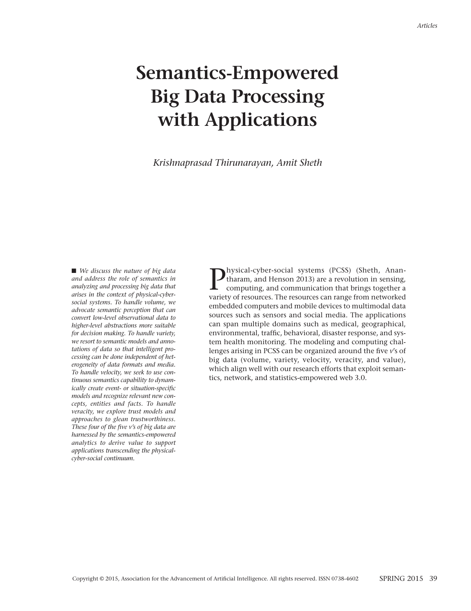# **Semantics-Empowered Big Data Processing with Applications**

*Krishnaprasad Thirunarayan, Amit Sheth*

■ *We* discuss the nature of big data *and address the role of semantics in analyzing and processing big data that arises in the context of physical-cybersocial systems. To handle volume, we advocate semantic perception that can convert low-level observational data to higher-level abstractions more suitable for decision making. To handle variety, we resort to semantic models and annotations of data so that intelligent processing can be done independent of heterogeneity of data formats and media. To handle velocity, we seek to use continuous semantics capability to dynamically create event- or situation-specific models and recognize relevant new concepts, entities and facts. To handle veracity, we explore trust models and approaches to glean trustworthiness. These four of the five v's of big data are harnessed by the semantics-empowered analytics to derive value to support applications transcending the physicalcyber-social continuum.*

**Physical-cyber-social systems (PCSS) (Sheth, Anan-**<br>tharam, and Henson 2013) are a revolution in sensing,<br>computing, and communication that brings together a<br>wright of resources. The resources can range from naturalized tharam, and Henson 2013) are a revolution in sensing, computing, and communication that brings together a variety of resources. The resources can range from networked embedded computers and mobile devices to multimodal data sources such as sensors and social media. The applications can span multiple domains such as medical, geographical, environmental, traffic, behavioral, disaster response, and system health monitoring. The modeling and computing challenges arising in PCSS can be organized around the five *v*'s of big data (volume, variety, velocity, veracity, and value), which align well with our research efforts that exploit semantics, network, and statistics-empowered web 3.0.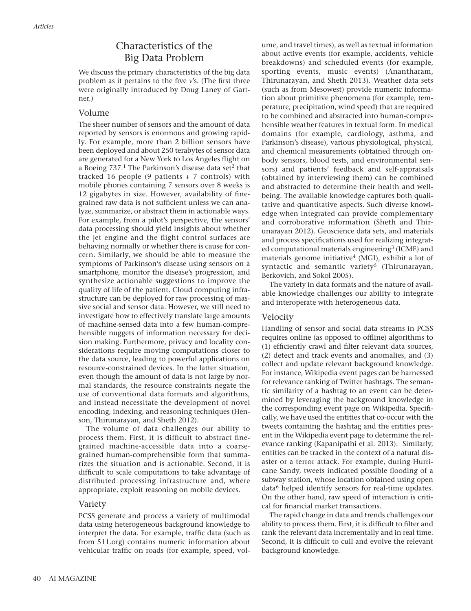# Characteristics of the Big Data Problem

We discuss the primary characteristics of the big data problem as it pertains to the five *v*'s. (The first three were originally introduced by Doug Laney of Gartner)

## Volume

The sheer number of sensors and the amount of data reported by sensors is enormous and growing rapidly. For example, more than 2 billion sensors have been deployed and about 250 terabytes of sensor data are generated for a New York to Los Angeles flight on a Boeing 737. $^1$  The Parkinson's disease data set $^2$  that tracked 16 people (9 patients  $+ 7$  controls) with mobile phones containing 7 sensors over 8 weeks is 12 gigabytes in size. However, availability of finegrained raw data is not sufficient unless we can analyze, summarize, or abstract them in actionable ways. For example, from a pilot's perspective, the sensors' data processing should yield insights about whether the jet engine and the flight control surfaces are behaving normally or whether there is cause for concern. Similarly, we should be able to measure the symptoms of Parkinson's disease using sensors on a smartphone, monitor the disease's progression, and synthesize actionable suggestions to improve the quality of life of the patient. Cloud computing infrastructure can be deployed for raw processing of massive social and sensor data. However, we still need to investigate how to effectively translate large amounts of machine-sensed data into a few human-comprehensible nuggets of information necessary for decision making. Furthermore, privacy and locality considerations require moving computations closer to the data source, leading to powerful applications on resource-constrained devices. In the latter situation, even though the amount of data is not large by normal standards, the resource constraints negate the use of conventional data formats and algorithms, and instead necessitate the development of novel encoding, indexing, and reasoning techniques (Henson, Thirunarayan, and Sheth 2012).

The volume of data challenges our ability to process them. First, it is difficult to abstract finegrained machine-accessible data into a coarsegrained human-comprehensible form that summarizes the situation and is actionable. Second, it is difficult to scale computations to take advantage of distributed processing infrastructure and, where appropriate, exploit reasoning on mobile devices.

#### Variety

PCSS generate and process a variety of multimodal data using heterogeneous background knowledge to interpret the data. For example, traffic data (such as from 511.org) contains numeric information about vehicular traffic on roads (for example, speed, volume, and travel times), as well as textual information about active events (for example, accidents, vehicle breakdowns) and scheduled events (for example, sporting events, music events) (Anantharam, Thirunarayan, and Sheth 2013). Weather data sets (such as from Mesowest) provide numeric information about primitive phenomena (for example, temperature, precipitation, wind speed) that are required to be combined and abstracted into human-comprehensible weather features in textual form. In medical domains (for example, cardiology, asthma, and Parkinson's disease), various physiological, physical, and chemical measurements (obtained through onbody sensors, blood tests, and environmental sensors) and patients' feedback and self-appraisals (obtained by interviewing them) can be combined and abstracted to determine their health and wellbeing. The available knowledge captures both qualitative and quantitative aspects. Such diverse knowledge when integrated can provide complementary and corroborative information (Sheth and Thirunarayan 2012). Geoscience data sets, and materials and process specifications used for realizing integrated computational materials engineering<sup>3</sup> (ICME) and materials genome initiative<sup>4</sup> (MGI), exhibit a lot of syntactic and semantic variety<sup>5</sup> (Thirunarayan, Berkovich, and Sokol 2005).

The variety in data formats and the nature of available knowledge challenges our ability to integrate and interoperate with heterogeneous data.

### Velocity

Handling of sensor and social data streams in PCSS requires online (as opposed to offline) algorithms to (1) efficiently crawl and filter relevant data sources, (2) detect and track events and anomalies, and (3) collect and update relevant background knowledge. For instance, Wikipedia event pages can be harnessed for relevance ranking of Twitter hashtags. The semantic similarity of a hashtag to an event can be determined by leveraging the background knowledge in the corresponding event page on Wikipedia. Specifically, we have used the entities that co-occur with the tweets containing the hashtag and the entities present in the Wikipedia event page to determine the relevance ranking (Kapanipathi et al. 2013). Similarly, entities can be tracked in the context of a natural disaster or a terror attack. For example, during Hurricane Sandy, tweets indicated possible flooding of a subway station, whose location obtained using open data<sup>6</sup> helped identify sensors for real-time updates. On the other hand, raw speed of interaction is critical for financial market transactions.

The rapid change in data and trends challenges our ability to process them. First, it is difficult to filter and rank the relevant data incrementally and in real time. Second, it is difficult to cull and evolve the relevant background knowledge.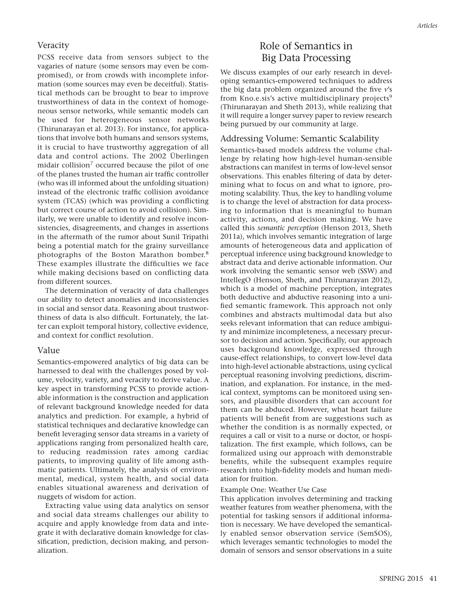#### Veracity

PCSS receive data from sensors subject to the vagaries of nature (some sensors may even be compromised), or from crowds with incomplete information (some sources may even be deceitful). Statistical methods can be brought to bear to improve trustworthiness of data in the context of homogeneous sensor networks, while semantic models can be used for heterogeneous sensor networks (Thirunarayan et al. 2013). For instance, for applications that involve both humans and sensors systems, it is crucial to have trustworthy aggregation of all data and control actions. The 2002 Überlingen midair collision<sup>7</sup> occurred because the pilot of one of the planes trusted the human air traffic controller (who was ill informed about the unfolding situation) instead of the electronic traffic collision avoidance system (TCAS) (which was providing a conflicting but correct course of action to avoid collision). Similarly, we were unable to identify and resolve inconsistencies, disagreements, and changes in assertions in the aftermath of the rumor about Sunil Tripathi being a potential match for the grainy surveillance photographs of the Boston Marathon bomber. 8 These examples illustrate the difficulties we face while making decisions based on conflicting data from different sources.

The determination of veracity of data challenges our ability to detect anomalies and inconsistencies in social and sensor data. Reasoning about trustworthiness of data is also difficult. Fortunately, the latter can exploit temporal history, collective evidence, and context for conflict resolution.

#### Value

Semantics-empowered analytics of big data can be harnessed to deal with the challenges posed by volume, velocity, variety, and veracity to derive value. A key aspect in transforming PCSS to provide actionable information is the construction and application of relevant background knowledge needed for data analytics and prediction. For example, a hybrid of statistical techniques and declarative knowledge can benefit leveraging sensor data streams in a variety of applications ranging from personalized health care, to reducing readmission rates among cardiac patients, to improving quality of life among asthmatic patients. Ultimately, the analysis of environmental, medical, system health, and social data enables situational awareness and derivation of nuggets of wisdom for action.

Extracting value using data analytics on sensor and social data streams challenges our ability to acquire and apply knowledge from data and integrate it with declarative domain knowledge for classification, prediction, decision making, and personalization.

## Role of Semantics in Big Data Processing

We discuss examples of our early research in developing semantics-empowered techniques to address the big data problem organized around the five *v*'s from Kno.e.sis's active multidisciplinary projects<sup>9</sup> (Thirunarayan and Sheth 2013), while realizing that it will require a longer survey paper to review research being pursued by our community at large.

#### Addressing Volume: Semantic Scalability

Semantics-based models address the volume challenge by relating how high-level human-sensible abstractions can manifest in terms of low-level sensor observations. This enables filtering of data by determining what to focus on and what to ignore, promoting scalability. Thus, the key to handling volume is to change the level of abstraction for data processing to information that is meaningful to human activity, actions, and decision making. We have called this *semantic perception* (Henson 2013, Sheth 2011a), which involves semantic integration of large amounts of heterogeneous data and application of perceptual inference using background knowledge to abstract data and derive actionable information. Our work involving the semantic sensor web (SSW) and IntellegO (Henson, Sheth, and Thirunarayan 2012), which is a model of machine perception, integrates both deductive and abductive reasoning into a unified semantic framework. This approach not only combines and abstracts multimodal data but also seeks relevant information that can reduce ambiguity and minimize incompleteness, a necessary precursor to decision and action. Specifically, our approach uses background knowledge, expressed through cause-effect relationships, to convert low-level data into high-level actionable abstractions, using cyclical perceptual reasoning involving predictions, discrimination, and explanation. For instance, in the medical context, symptoms can be monitored using sensors, and plausible disorders that can account for them can be abduced. However, what heart failure patients will benefit from are suggestions such as whether the condition is as normally expected, or requires a call or visit to a nurse or doctor, or hospitalization. The first example, which follows, can be formalized using our approach with demonstrable benefits, while the subsequent examples require research into high-fidelity models and human mediation for fruition.

#### Example One: Weather Use Case

This application involves determining and tracking weather features from weather phenomena, with the potential for tasking sensors if additional information is necessary. We have developed the semantically enabled sensor observation service (SemSOS), which leverages semantic technologies to model the domain of sensors and sensor observations in a suite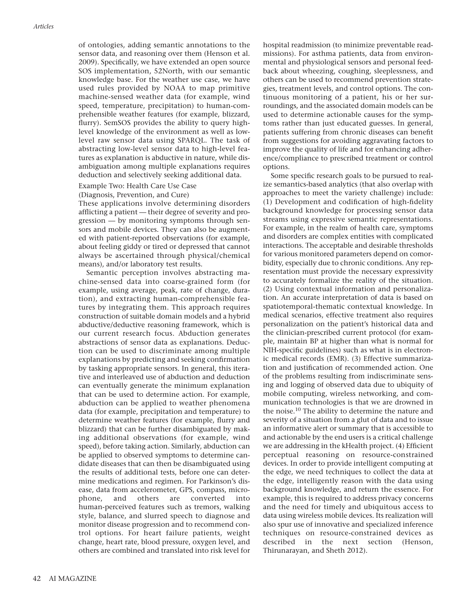of ontologies, adding semantic annotations to the sensor data, and reasoning over them (Henson et al. 2009). Specifically, we have extended an open source SOS implementation, 52North, with our semantic knowledge base. For the weather use case, we have used rules provided by NOAA to map primitive machine-sensed weather data (for example, wind speed, temperature, precipitation) to human-comprehensible weather features (for example, blizzard, flurry). SemSOS provides the ability to query highlevel knowledge of the environment as well as lowlevel raw sensor data using SPARQL. The task of abstracting low-level sensor data to high-level features as explanation is abductive in nature, while disambiguation among multiple explanations requires deduction and selectively seeking additional data.

#### Example Two: Health Care Use Case (Diagnosis, Prevention, and Cure)

These applications involve determining disorders afflicting a patient — their degree of severity and progression — by monitoring symptoms through sensors and mobile devices. They can also be augmented with patient-reported observations (for example, about feeling giddy or tired or depressed that cannot always be ascertained through physical/chemical means), and/or laboratory test results.

Semantic perception involves abstracting machine-sensed data into coarse-grained form (for example, using average, peak, rate of change, duration), and extracting human-comprehensible features by integrating them. This approach requires construction of suitable domain models and a hybrid abductive/deductive reasoning framework, which is our current research focus. Abduction generates abstractions of sensor data as explanations. Deduction can be used to discriminate among multiple explanations by predicting and seeking confirmation by tasking appropriate sensors. In general, this iterative and interleaved use of abduction and deduction can eventually generate the minimum explanation that can be used to determine action. For example, abduction can be applied to weather phenomena data (for example, precipitation and temperature) to determine weather features (for example, flurry and blizzard) that can be further disambiguated by making additional observations (for example, wind speed), before taking action. Similarly, abduction can be applied to observed symptoms to determine candidate diseases that can then be disambiguated using the results of additional tests, before one can determine medications and regimen. For Parkinson's disease, data from accelerometer, GPS, compass, microphone, and others are converted into human-perceived features such as tremors, walking style, balance, and slurred speech to diagnose and monitor disease progression and to recommend control options. For heart failure patients, weight change, heart rate, blood pressure, oxygen level, and others are combined and translated into risk level for hospital readmission (to minimize preventable readmissions). For asthma patients, data from environmental and physiological sensors and personal feedback about wheezing, coughing, sleeplessness, and others can be used to recommend prevention strategies, treatment levels, and control options. The continuous monitoring of a patient, his or her surroundings, and the associated domain models can be used to determine actionable causes for the symptoms rather than just educated guesses. In general, patients suffering from chronic diseases can benefit from suggestions for avoiding aggravating factors to improve the quality of life and for enhancing adherence/compliance to prescribed treatment or control options.

Some specific research goals to be pursued to realize semantics-based analytics (that also overlap with approaches to meet the variety challenge) include: (1) Development and codification of high-fidelity background knowledge for processing sensor data streams using expressive semantic representations. For example, in the realm of health care, symptoms and disorders are complex entities with complicated interactions. The acceptable and desirable thresholds for various monitored parameters depend on comorbidity, especially due to chronic conditions. Any representation must provide the necessary expressivity to accurately formalize the reality of the situation. (2) Using contextual information and personalization. An accurate interpretation of data is based on spatiotemporal-thematic contextual knowledge. In medical scenarios, effective treatment also requires personalization on the patient's historical data and the clinician-prescribed current protocol (for example, maintain BP at higher than what is normal for NIH-specific guidelines) such as what is in electronic medical records (EMR). (3) Effective summarization and justification of recommended action. One of the problems resulting from indiscriminate sensing and logging of observed data due to ubiquity of mobile computing, wireless networking, and communication technologies is that we are drowned in the noise. <sup>10</sup> The ability to determine the nature and severity of a situation from a glut of data and to issue an informative alert or summary that is accessible to and actionable by the end users is a critical challenge we are addressing in the kHealth project. (4) Efficient perceptual reasoning on resource-constrained devices. In order to provide intelligent computing at the edge, we need techniques to collect the data at the edge, intelligently reason with the data using background knowledge, and return the essence. For example, this is required to address privacy concerns and the need for timely and ubiquitous access to data using wireless mobile devices. Its realization will also spur use of innovative and specialized inference techniques on resource-constrained devices as described in the next section (Henson, Thirunarayan, and Sheth 2012).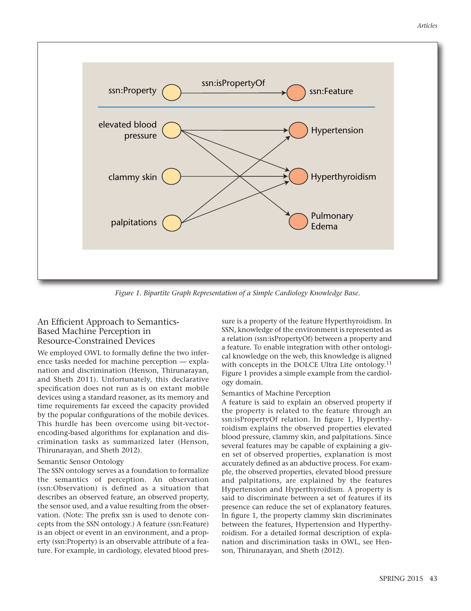

*Figure 1. Bipartite Graph Representation of a Simple Cardiology Knowledge Base.*

## An Efficient Approach to Semantics-Based Machine Perception in Resource-Constrained Devices

We employed OWL to formally define the two inference tasks needed for machine perception — explanation and discrimination (Henson, Thirunarayan, and Sheth 2011). Unfortunately, this declarative specification does not run as is on extant mobile devices using a standard reasoner, as its memory and time requirements far exceed the capacity provided by the popular configurations of the mobile devices. This hurdle has been overcome using bit-vectorencoding-based algorithms for explanation and discrimination tasks as summarized later (Henson, Thirunarayan, and Sheth 2012).

#### Semantic Sensor Ontology

The SSN ontology serves as a foundation to formalize the semantics of perception. An observation (ssn:Observation) is defined as a situation that describes an observed feature, an observed property, the sensor used, and a value resulting from the observation. (Note: The prefix ssn is used to denote concepts from the SSN ontology.) A feature (ssn:Feature) is an object or event in an environment, and a property (ssn:Property) is an observable attribute of a feature. For example, in cardiology, elevated blood pressure is a property of the feature Hyperthyroidism. In SSN, knowledge of the environment is represented as a relation (ssn:isPropertyOf) between a property and a feature. To enable integration with other ontological knowledge on the web, this knowledge is aligned with concepts in the DOLCE Ultra Lite ontology.<sup>11</sup> Figure 1 provides a simple example from the cardiology domain.

#### Semantics of Machine Perception

A feature is said to explain an observed property if the property is related to the feature through an ssn:isPropertyOf relation. In figure 1, Hyperthyroidism explains the observed properties elevated blood pressure, clammy skin, and palpitations. Since several features may be capable of explaining a given set of observed properties, explanation is most accurately defined as an abductive process. For example, the observed properties, elevated blood pressure and palpitations, are explained by the features Hypertension and Hyperthyroidism. A property is said to discriminate between a set of features if its presence can reduce the set of explanatory features. In figure 1, the property clammy skin discriminates between the features, Hypertension and Hyperthyroidism. For a detailed formal description of explanation and discrimination tasks in OWL, see Henson, Thirunarayan, and Sheth (2012).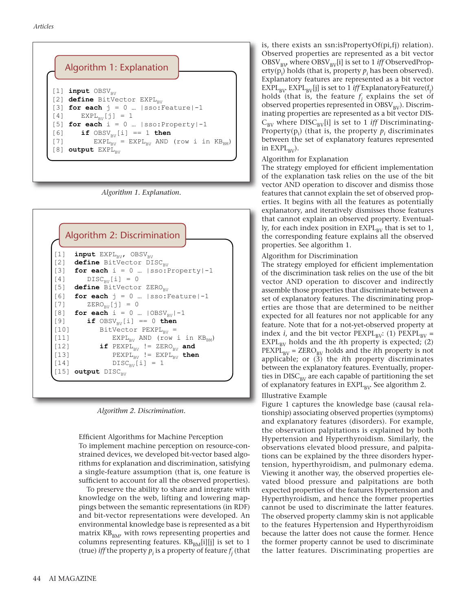

*Algorithm 1. Explanation.*

| $[1]$             | input $EXPL_{BV}$ , OBSV <sub>BV</sub>              |
|-------------------|-----------------------------------------------------|
| $\lceil 2 \rceil$ | define BitVector DISC <sub>pv</sub>                 |
|                   | [3] for each $i = 0$   sso: Property   -1           |
| $\lceil 4 \rceil$ | $DISC_{\text{RV}}[i] = 0$                           |
|                   | [5] define BitVector ZERO <sub>RV</sub>             |
|                   | [6] <b>for each</b> $j = 0$   sso: Feature   -1     |
| $\lceil 7 \rceil$ | $\text{ZERO}_{\text{RV}}[j] = 0$                    |
|                   | [8] <b>for each</b> i = 0 $ OBSV_{BV} -1$           |
| $\lceil 9 \rceil$ | if $OBSV_{\text{RV}}[i] == 0$ then                  |
| $[10]$            | $BitVector$ $PEXPL_{BV}$ =                          |
| [11]              | $EXPL_{\text{RV}}$ AND (row i in $KB_{\text{RM}}$ ) |
| $[12]$            | if $PEXPL_{RV}$ != $ZERO_{RV}$ and                  |
| [13]              | $PEXPL_{RV}$ != $EXPL_{RV}$ then                    |
| [14]              | $DISC_{RV}[i] = 1$                                  |

*Algorithm 2. Discrimination.*

Efficient Algorithms for Machine Perception To implement machine perception on resource-constrained devices, we developed bit-vector based algorithms for explanation and discrimination, satisfying a single-feature assumption (that is, one feature is sufficient to account for all the observed properties).

To preserve the ability to share and integrate with knowledge on the web, lifting and lowering mappings between the semantic representations (in RDF) and bit-vector representations were developed. An environmental knowledge base is represented as a bit matrix  $KB_{BM}$ , with rows representing properties and columns representing features.  $KB<sub>BM</sub>[i][j]$  is set to 1 (true) *iff* the property  $p_i$  is a property of feature  $f_i$  (that is, there exists an ssn:isPropertyOf(pi,fj) relation). Observed properties are represented as a bit vector  $\mathrm{OBSV}_{\mathrm{BV}}$  where  $\mathrm{OBSV}_{\mathrm{BV}}[i]$  is set to 1 *iff* ObservedProp- $\text{erty}(p_i)$  holds (that is, property  $p_i$  has been observed). Explanatory features are represented as a bit vector  $\text{EXPL}_{\text{BV}}$   $\text{EXPL}_{\text{BV}}[\text{j}]$  is set to  $1$  *iff* ExplanatoryFeature(f<sub>j</sub>) holds (that is, the feature  $f_i$  explains the set of observed properties represented in OBSV<sub>BV</sub>). Discriminating properties are represented as a bit vector DIS- $C_{BV}$  where  $DISC_{BV}[i]$  is set to 1 *iff* Discriminating-Property( $\mathrm{p_i}$ ) (that is, the property  $\mathrm{p}_i$  discriminates between the set of explanatory features represented in  $EXPL_{BV}$ ).

#### Algorithm for Explanation

The strategy employed for efficient implementation of the explanation task relies on the use of the bit vector AND operation to discover and dismiss those features that cannot explain the set of observed properties. It begins with all the features as potentially explanatory, and iteratively dismisses those features that cannot explain an observed property. Eventually, for each index position in  $EXPL_{BV}$  that is set to 1, the corresponding feature explains all the observed properties. See algorithm 1.

#### Algorithm for Discrimination

The strategy employed for efficient implementation of the discrimination task relies on the use of the bit vector AND operation to discover and indirectly assemble those properties that discriminate between a set of explanatory features. The discriminating properties are those that are determined to be neither expected for all features nor not applicable for any feature. Note that for a not-yet-observed property at index *i*, and the bit vector  $PERPL_{BV}$ : (1)  $PERPL_{BV}$  =  $EXPL_{BV}$  holds and the *i*th property is expected; (2)  $PEXPL<sub>BV</sub> = ZERO<sub>BV</sub>$  holds and the *i*th property is not applicable; or (3) the *i*th property discriminates between the explanatory features. Eventually, properties in  $DISC<sub>BV</sub>$  are each capable of partitioning the set of explanatory features in  $EXPL_{BV}$  See algorithm 2.

#### Illustrative Example

Figure 1 captures the knowledge base (causal relationship) associating observed properties (symptoms) and explanatory features (disorders). For example, the observation palpitations is explained by both Hypertension and Hyperthyroidism. Similarly, the observations elevated blood pressure, and palpitations can be explained by the three disorders hypertension, hyperthyroidism, and pulmonary edema. Viewing it another way, the observed properties elevated blood pressure and palpitations are both expected properties of the features Hypertension and Hyperthyroidism, and hence the former properties cannot be used to discriminate the latter features. The observed property clammy skin is not applicable to the features Hypertension and Hyperthyroidism because the latter does not cause the former. Hence the former property cannot be used to discriminate the latter features. Discriminating properties are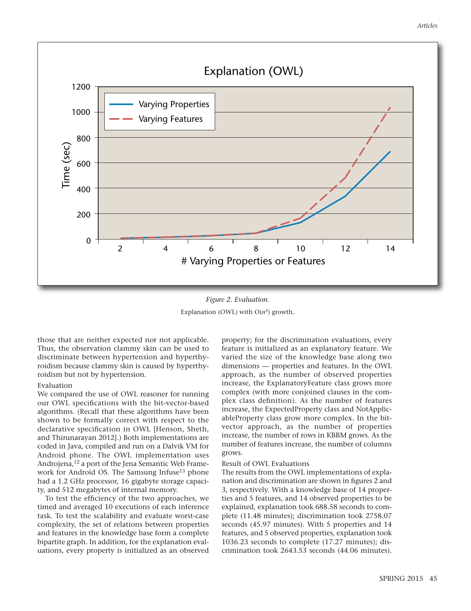

*Figure 2. Evaluation.* Explanation (OWL) with  $O(n^3)$  growth.

those that are neither expected nor not applicable. Thus, the observation clammy skin can be used to discriminate between hypertension and hyperthyroidism because clammy skin is caused by hyperthyroidism but not by hypertension.

#### Evaluation

We compared the use of OWL reasoner for running our OWL specifications with the bit-vector-based algorithms. (Recall that these algorithms have been shown to be formally correct with respect to the declarative specification in OWL [Henson, Sheth, and Thirunarayan 2012].) Both implementations are coded in Java, compiled and run on a Dalvik VM for Android phone. The OWL implementation uses Androjena, <sup>12</sup> a port of the Jena Semantic Web Framework for Android OS. The Samsung Infuse<sup>13</sup> phone had a 1.2 GHz processor, 16 gigabyte storage capacity, and 512 megabytes of internal memory.

To test the efficiency of the two approaches, we timed and averaged 10 executions of each inference task. To test the scalability and evaluate worst-case complexity, the set of relations between properties and features in the knowledge base form a complete bipartite graph. In addition, for the explanation evaluations, every property is initialized as an observed

property; for the discrimination evaluations, every feature is initialized as an explanatory feature. We varied the size of the knowledge base along two dimensions — properties and features. In the OWL approach, as the number of observed properties increase, the ExplanatoryFeature class grows more complex (with more conjoined clauses in the complex class definition). As the number of features increase, the ExpectedProperty class and NotApplicableProperty class grow more complex. In the bitvector approach, as the number of properties increase, the number of rows in KBBM grows. As the number of features increase, the number of columns grows.

#### Result of OWL Evaluations

The results from the OWL implementations of explanation and discrimination are shown in figures 2 and 3, respectively. With a knowledge base of 14 properties and 5 features, and 14 observed properties to be explained, explanation took 688.58 seconds to complete (11.48 minutes); discrimination took 2758.07 seconds (45.97 minutes). With 5 properties and 14 features, and 5 observed properties, explanation took 1036.23 seconds to complete (17.27 minutes); discrimination took 2643.53 seconds (44.06 minutes).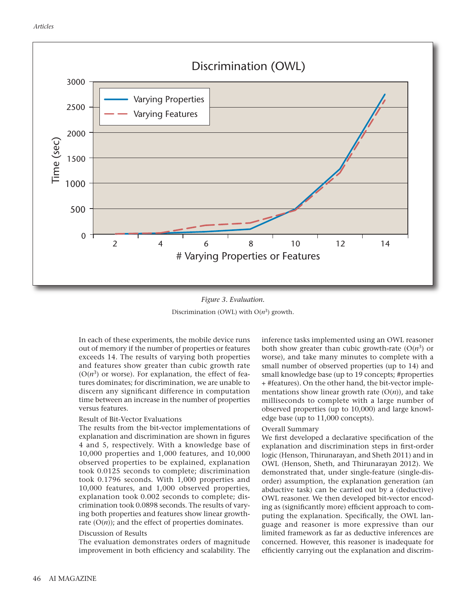

*Figure 3. Evaluation.* Discrimination (OWL) with  $O(n^3)$  growth.

In each of these experiments, the mobile device runs out of memory if the number of properties or features exceeds 14. The results of varying both properties and features show greater than cubic growth rate  $(O(n^3))$  or worse). For explanation, the effect of features dominates; for discrimination, we are unable to discern any significant difference in computation time between an increase in the number of properties versus features.

#### Result of Bit-Vector Evaluations

The results from the bit-vector implementations of explanation and discrimination are shown in figures 4 and 5, respectively. With a knowledge base of 10,000 properties and 1,000 features, and 10,000 observed properties to be explained, explanation took 0.0125 seconds to complete; discrimination took 0.1796 seconds. With 1,000 properties and 10,000 features, and 1,000 observed properties, explanation took 0.002 seconds to complete; discrimination took 0.0898 seconds. The results of varying both properties and features show linear growthrate  $(O(n))$ ; and the effect of properties dominates.

#### Discussion of Results

The evaluation demonstrates orders of magnitude improvement in both efficiency and scalability. The inference tasks implemented using an OWL reasoner both show greater than cubic growth-rate  $(O(n^3))$  or worse), and take many minutes to complete with a small number of observed properties (up to 14) and small knowledge base (up to 19 concepts; #properties + #features). On the other hand, the bit-vector implementations show linear growth rate  $(O(n))$ , and take milliseconds to complete with a large number of observed properties (up to 10,000) and large knowledge base (up to 11,000 concepts).

#### Overall Summary

We first developed a declarative specification of the explanation and discrimination steps in first-order logic (Henson, Thirunarayan, and Sheth 2011) and in OWL (Henson, Sheth, and Thirunarayan 2012). We demonstrated that, under single-feature (single-disorder) assumption, the explanation generation (an abductive task) can be carried out by a (deductive) OWL reasoner. We then developed bit-vector encoding as (significantly more) efficient approach to computing the explanation. Specifically, the OWL language and reasoner is more expressive than our limited framework as far as deductive inferences are concerned. However, this reasoner is inadequate for efficiently carrying out the explanation and discrim-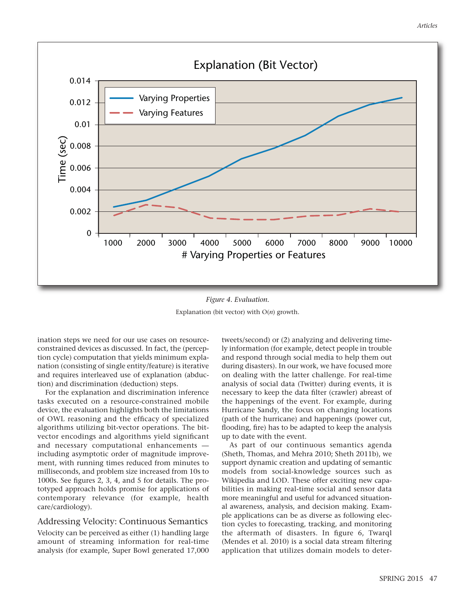

## *Figure 4. Evaluation.* Explanation (bit vector) with O(*n*) growth.

ination steps we need for our use cases on resourceconstrained devices as discussed. In fact, the (perception cycle) computation that yields minimum explanation (consisting of single entity/feature) is iterative and requires interleaved use of explanation (abduction) and discrimination (deduction) steps.

For the explanation and discrimination inference tasks executed on a resource-constrained mobile device, the evaluation highlights both the limitations of OWL reasoning and the efficacy of specialized algorithms utilizing bit-vector operations. The bitvector encodings and algorithms yield significant and necessary computational enhancements including asymptotic order of magnitude improvement, with running times reduced from minutes to milliseconds, and problem size increased from 10s to 1000s. See figures 2, 3, 4, and 5 for details. The prototyped approach holds promise for applications of contemporary relevance (for example, health care/cardiology).

#### Addressing Velocity: Continuous Semantics

Velocity can be perceived as either (1) handling large amount of streaming information for real-time analysis (for example, Super Bowl generated 17,000 tweets/second) or (2) analyzing and delivering timely information (for example, detect people in trouble and respond through social media to help them out during disasters). In our work, we have focused more on dealing with the latter challenge. For real-time analysis of social data (Twitter) during events, it is necessary to keep the data filter (crawler) abreast of the happenings of the event. For example, during Hurricane Sandy, the focus on changing locations (path of the hurricane) and happenings (power cut, flooding, fire) has to be adapted to keep the analysis up to date with the event.

As part of our continuous semantics agenda (Sheth, Thomas, and Mehra 2010; Sheth 2011b), we support dynamic creation and updating of semantic models from social-knowledge sources such as Wikipedia and LOD. These offer exciting new capabilities in making real-time social and sensor data more meaningful and useful for advanced situational awareness, analysis, and decision making. Example applications can be as diverse as following election cycles to forecasting, tracking, and monitoring the aftermath of disasters. In figure 6, Twarql (Mendes et al. 2010) is a social data stream filtering application that utilizes domain models to deter-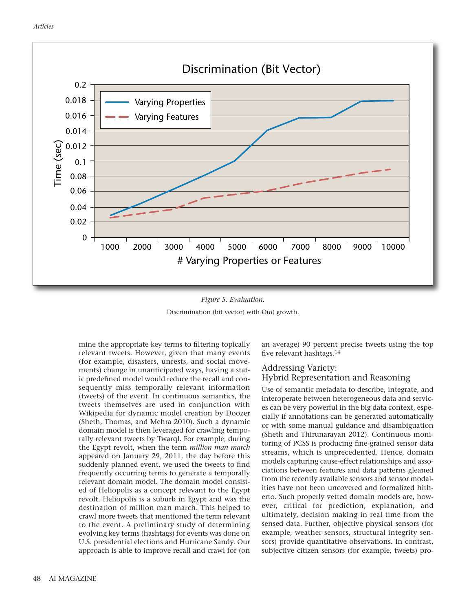

## *Figure 5. Evaluation.* Discrimination (bit vector) with O(*n*) growth.

mine the appropriate key terms to filtering topically relevant tweets. However, given that many events (for example, disasters, unrests, and social movements) change in unanticipated ways, having a static predefined model would reduce the recall and consequently miss temporally relevant information (tweets) of the event. In continuous semantics, the tweets themselves are used in conjunction with Wikipedia for dynamic model creation by Doozer (Sheth, Thomas, and Mehra 2010). Such a dynamic domain model is then leveraged for crawling temporally relevant tweets by Twarql. For example, during the Egypt revolt, when the term *million man march* appeared on January 29, 2011, the day before this suddenly planned event, we used the tweets to find frequently occurring terms to generate a temporally relevant domain model. The domain model consisted of Heliopolis as a concept relevant to the Egypt revolt. Heliopolis is a suburb in Egypt and was the destination of million man march. This helped to crawl more tweets that mentioned the term relevant to the event. A preliminary study of determining evolving key terms (hashtags) for events was done on U.S. presidential elections and Hurricane Sandy. Our approach is able to improve recall and crawl for (on an average) 90 percent precise tweets using the top five relevant hashtags. 14

# Addressing Variety:

## Hybrid Representation and Reasoning

Use of semantic metadata to describe, integrate, and interoperate between heterogeneous data and services can be very powerful in the big data context, especially if annotations can be generated automatically or with some manual guidance and disambiguation (Sheth and Thirunarayan 2012). Continuous monitoring of PCSS is producing fine-grained sensor data streams, which is unprecedented. Hence, domain models capturing cause-effect relationships and associations between features and data patterns gleaned from the recently available sensors and sensor modalities have not been uncovered and formalized hitherto. Such properly vetted domain models are, however, critical for prediction, explanation, and ultimately, decision making in real time from the sensed data. Further, objective physical sensors (for example, weather sensors, structural integrity sensors) provide quantitative observations. In contrast, subjective citizen sensors (for example, tweets) pro-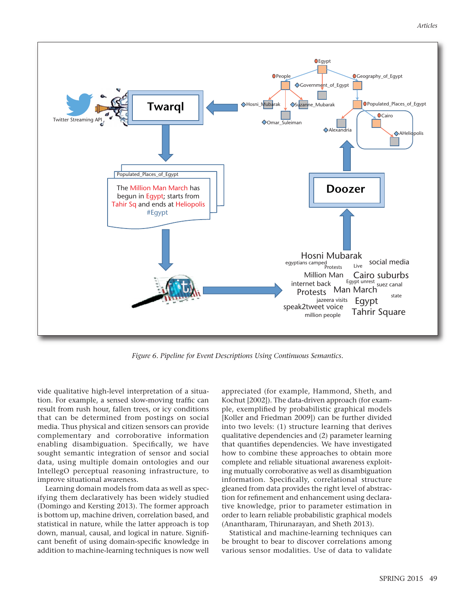

*Figure 6. Pipeline for Event Descriptions Using Continuous Semantics.*

vide qualitative high-level interpretation of a situation. For example, a sensed slow-moving traffic can result from rush hour, fallen trees, or icy conditions that can be determined from postings on social media. Thus physical and citizen sensors can provide complementary and corroborative information enabling disambiguation. Specifically, we have sought semantic integration of sensor and social data, using multiple domain ontologies and our IntellegO perceptual reasoning infrastructure, to improve situational awareness.

Learning domain models from data as well as specifying them declaratively has been widely studied (Domingo and Kersting 2013). The former approach is bottom up, machine driven, correlation based, and statistical in nature, while the latter approach is top down, manual, causal, and logical in nature. Significant benefit of using domain-specific knowledge in addition to machine-learning techniques is now well

appreciated (for example, Hammond, Sheth, and Kochut [2002]). The data-driven approach (for example, exemplified by probabilistic graphical models [Koller and Friedman 2009]) can be further divided into two levels: (1) structure learning that derives qualitative dependencies and (2) parameter learning that quantifies dependencies. We have investigated how to combine these approaches to obtain more complete and reliable situational awareness exploiting mutually corroborative as well as disambiguation information. Specifically, correlational structure gleaned from data provides the right level of abstraction for refinement and enhancement using declarative knowledge, prior to parameter estimation in order to learn reliable probabilistic graphical models (Anantharam, Thirunarayan, and Sheth 2013).

Statistical and machine-learning techniques can be brought to bear to discover correlations among various sensor modalities. Use of data to validate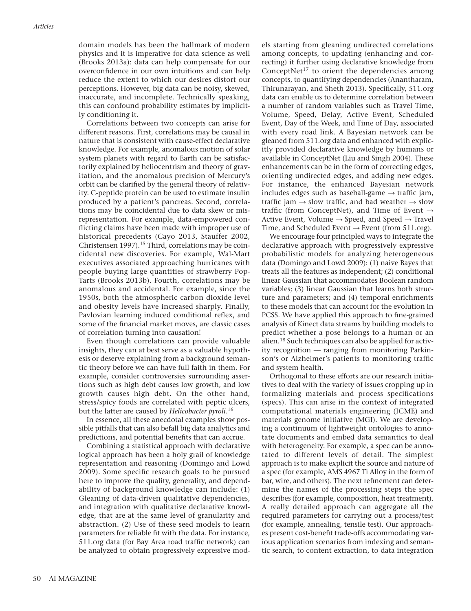domain models has been the hallmark of modern physics and it is imperative for data science as well (Brooks 2013a): data can help compensate for our overconfidence in our own intuitions and can help reduce the extent to which our desires distort our perceptions. However, big data can be noisy, skewed, inaccurate, and incomplete. Technically speaking, this can confound probability estimates by implicitly conditioning it.

Correlations between two concepts can arise for different reasons. First, correlations may be causal in nature that is consistent with cause-effect declarative knowledge. For example, anomalous motion of solar system planets with regard to Earth can be satisfactorily explained by heliocentrism and theory of gravitation, and the anomalous precision of Mercury's orbit can be clarified by the general theory of relativity. C-peptide protein can be used to estimate insulin produced by a patient's pancreas. Second, correlations may be coincidental due to data skew or misrepresentation. For example, data-empowered conflicting claims have been made with improper use of historical precedents (Cayo 2013, Stauffer 2002, Christensen 1997). <sup>15</sup> Third, correlations may be coincidental new discoveries. For example, Wal-Mart executives associated approaching hurricanes with people buying large quantities of strawberry Pop-Tarts (Brooks 2013b). Fourth, correlations may be anomalous and accidental. For example, since the 1950s, both the atmospheric carbon dioxide level and obesity levels have increased sharply. Finally, Pavlovian learning induced conditional reflex, and some of the financial market moves, are classic cases of correlation turning into causation!

Even though correlations can provide valuable insights, they can at best serve as a valuable hypothesis or deserve explaining from a background semantic theory before we can have full faith in them. For example, consider controversies surrounding assertions such as high debt causes low growth, and low growth causes high debt. On the other hand, stress/spicy foods are correlated with peptic ulcers, but the latter are caused by *Helicobacter pyroli*. 16

In essence, all these anecdotal examples show possible pitfalls that can also befall big data analytics and predictions, and potential benefits that can accrue.

Combining a statistical approach with declarative logical approach has been a holy grail of knowledge representation and reasoning (Domingo and Lowd 2009). Some specific research goals to be pursued here to improve the quality, generality, and dependability of background knowledge can include: (1) Gleaning of data-driven qualitative dependencies, and integration with qualitative declarative knowledge, that are at the same level of granularity and abstraction. (2) Use of these seed models to learn parameters for reliable fit with the data. For instance, 511.org data (for Bay Area road traffic network) can be analyzed to obtain progressively expressive mod-

els starting from gleaning undirected correlations among concepts, to updating (enhancing and correcting) it further using declarative knowledge from ConceptNet<sup>17</sup> to orient the dependencies among concepts, to quantifying dependencies (Anantharam, Thirunarayan, and Sheth 2013). Specifically, 511.org data can enable us to determine correlation between a number of random variables such as Travel Time, Volume, Speed, Delay, Active Event, Scheduled Event, Day of the Week, and Time of Day, associated with every road link. A Bayesian network can be gleaned from 511.org data and enhanced with explicitly provided declarative knowledge by humans or available in ConceptNet (Liu and Singh 2004). These enhancements can be in the form of correcting edges, orienting undirected edges, and adding new edges. For instance, the enhanced Bayesian network includes edges such as baseball-game  $\rightarrow$  traffic jam, traffic jam  $\rightarrow$  slow traffic, and bad weather  $\rightarrow$  slow traffic (from ConceptNet), and Time of Event  $\rightarrow$ Active Event, Volume  $\rightarrow$  Speed, and Speed  $\rightarrow$  Travel Time, and Scheduled Event  $\rightarrow$  Event (from 511.org).

We encourage four principled ways to integrate the declarative approach with progressively expressive probabilistic models for analyzing heterogeneous data (Domingo and Lowd 2009): (1) naive Bayes that treats all the features as independent; (2) conditional linear Gaussian that accommodates Boolean random variables; (3) linear Gaussian that learns both structure and parameters; and (4) temporal enrichments to these models that can account for the evolution in PCSS. We have applied this approach to fine-grained analysis of Kinect data streams by building models to predict whether a pose belongs to a human or an alien. <sup>18</sup> Such techniques can also be applied for activity recognition — ranging from monitoring Parkinson's or Alzheimer's patients to monitoring traffic and system health.

Orthogonal to these efforts are our research initiatives to deal with the variety of issues cropping up in formalizing materials and process specifications (specs). This can arise in the context of integrated computational materials engineering (ICME) and materials genome initiative (MGI). We are developing a continuum of lightweight ontologies to annotate documents and embed data semantics to deal with heterogeneity. For example, a spec can be annotated to different levels of detail. The simplest approach is to make explicit the source and nature of a spec (for example, AMS 4967 Ti Alloy in the form of bar, wire, and others). The next refinement can determine the names of the processing steps the spec describes (for example, composition, heat treatment). A really detailed approach can aggregate all the required parameters for carrying out a process/test (for example, annealing, tensile test). Our approaches present cost-benefit trade-offs accommodating various application scenarios from indexing and semantic search, to content extraction, to data integration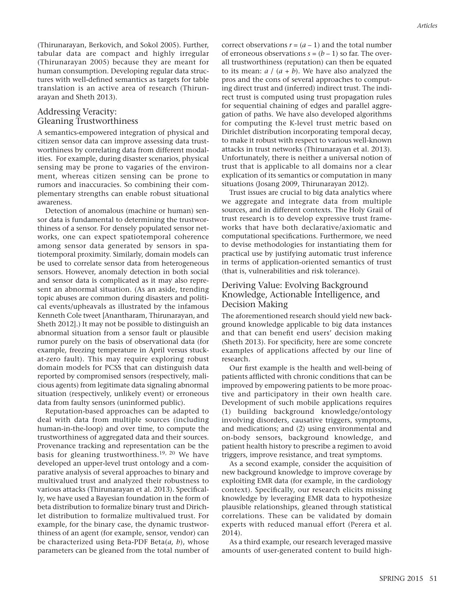(Thirunarayan, Berkovich, and Sokol 2005). Further, tabular data are compact and highly irregular (Thirunarayan 2005) because they are meant for human consumption. Developing regular data structures with well-defined semantics as targets for table translation is an active area of research (Thirunarayan and Sheth 2013).

#### Addressing Veracity: Gleaning Trustworthiness

A semantics-empowered integration of physical and citizen sensor data can improve assessing data trustworthiness by correlating data from different modalities. For example, during disaster scenarios, physical sensing may be prone to vagaries of the environment, whereas citizen sensing can be prone to rumors and inaccuracies. So combining their complementary strengths can enable robust situational awareness.

Detection of anomalous (machine or human) sensor data is fundamental to determining the trustworthiness of a sensor. For densely populated sensor networks, one can expect spatiotemporal coherence among sensor data generated by sensors in spatiotemporal proximity. Similarly, domain models can be used to correlate sensor data from heterogeneous sensors. However, anomaly detection in both social and sensor data is complicated as it may also represent an abnormal situation. (As an aside, trending topic abuses are common during disasters and political events/upheavals as illustrated by the infamous Kenneth Cole tweet [Anantharam, Thirunarayan, and Sheth 2012].) It may not be possible to distinguish an abnormal situation from a sensor fault or plausible rumor purely on the basis of observational data (for example, freezing temperature in April versus stuckat-zero fault). This may require exploring robust domain models for PCSS that can distinguish data reported by compromised sensors (respectively, malicious agents) from legitimate data signaling abnormal situation (respectively, unlikely event) or erroneous data from faulty sensors (uninformed public).

Reputation-based approaches can be adapted to deal with data from multiple sources (including human-in-the-loop) and over time, to compute the trustworthiness of aggregated data and their sources. Provenance tracking and representation can be the basis for gleaning trustworthiness.<sup>19, 20</sup> We have developed an upper-level trust ontology and a comparative analysis of several approaches to binary and multivalued trust and analyzed their robustness to various attacks (Thirunarayan et al. 2013). Specifically, we have used a Bayesian foundation in the form of beta distribution to formalize binary trust and Dirichlet distribution to formalize multivalued trust. For example, for the binary case, the dynamic trustworthiness of an agent (for example, sensor, vendor) can be characterized using Beta-PDF Beta(*a, b*), whose parameters can be gleaned from the total number of correct observations  $r = (a - 1)$  and the total number of erroneous observations  $s = (b - 1)$  so far. The overall trustworthiness (reputation) can then be equated to its mean:  $a / (a + b)$ . We have also analyzed the pros and the cons of several approaches to computing direct trust and (inferred) indirect trust. The indirect trust is computed using trust propagation rules for sequential chaining of edges and parallel aggregation of paths. We have also developed algorithms for computing the K-level trust metric based on Dirichlet distribution incorporating temporal decay, to make it robust with respect to various well-known attacks in trust networks (Thirunarayan et al. 2013). Unfortunately, there is neither a universal notion of trust that is applicable to all domains nor a clear explication of its semantics or computation in many situations (Josang 2009, Thirunarayan 2012).

Trust issues are crucial to big data analytics where we aggregate and integrate data from multiple sources, and in different contexts. The Holy Grail of trust research is to develop expressive trust frameworks that have both declarative/axiomatic and computational specifications. Furthermore, we need to devise methodologies for instantiating them for practical use by justifying automatic trust inference in terms of application-oriented semantics of trust (that is, vulnerabilities and risk tolerance).

#### Deriving Value: Evolving Background Knowledge, Actionable Intelligence, and Decision Making

The aforementioned research should yield new background knowledge applicable to big data instances and that can benefit end users' decision making (Sheth 2013). For specificity, here are some concrete examples of applications affected by our line of research.

Our first example is the health and well-being of patients afflicted with chronic conditions that can be improved by empowering patients to be more proactive and participatory in their own health care. Development of such mobile applications requires (1) building background knowledge/ontology involving disorders, causative triggers, symptoms, and medications; and (2) using environmental and on-body sensors, background knowledge, and patient health history to prescribe a regimen to avoid triggers, improve resistance, and treat symptoms.

As a second example, consider the acquisition of new background knowledge to improve coverage by exploiting EMR data (for example, in the cardiology context). Specifically, our research elicits missing knowledge by leveraging EMR data to hypothesize plausible relationships, gleaned through statistical correlations. These can be validated by domain experts with reduced manual effort (Perera et al. 2014).

As a third example, our research leveraged massive amounts of user-generated content to build high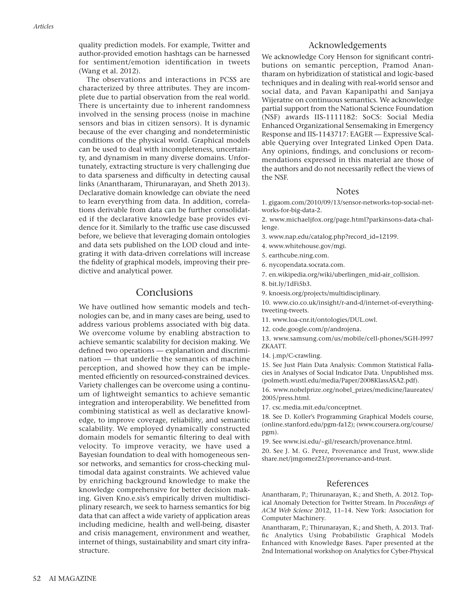quality prediction models. For example, Twitter and author-provided emotion hashtags can be harnessed for sentiment/emotion identification in tweets (Wang et al. 2012).

The observations and interactions in PCSS are characterized by three attributes. They are incomplete due to partial observation from the real world. There is uncertainty due to inherent randomness involved in the sensing process (noise in machine sensors and bias in citizen sensors). It is dynamic because of the ever changing and nondeterministic conditions of the physical world. Graphical models can be used to deal with incompleteness, uncertainty, and dynamism in many diverse domains. Unfortunately, extracting structure is very challenging due to data sparseness and difficulty in detecting causal links (Anantharam, Thirunarayan, and Sheth 2013). Declarative domain knowledge can obviate the need to learn everything from data. In addition, correlations derivable from data can be further consolidated if the declarative knowledge base provides evidence for it. Similarly to the traffic use case discussed before, we believe that leveraging domain ontologies and data sets published on the LOD cloud and integrating it with data-driven correlations will increase the fidelity of graphical models, improving their predictive and analytical power.

## Conclusions

We have outlined how semantic models and technologies can be, and in many cases are being, used to address various problems associated with big data. We overcome volume by enabling abstraction to achieve semantic scalability for decision making. We defined two operations — explanation and discrimination — that underlie the semantics of machine perception, and showed how they can be implemented efficiently on resourced-constrained devices. Variety challenges can be overcome using a continuum of lightweight semantics to achieve semantic integration and interoperability. We benefitted from combining statistical as well as declarative knowledge, to improve coverage, reliability, and semantic scalability. We employed dynamically constructed domain models for semantic filtering to deal with velocity. To improve veracity, we have used a Bayesian foundation to deal with homogeneous sensor networks, and semantics for cross-checking multimodal data against constraints. We achieved value by enriching background knowledge to make the knowledge comprehensive for better decision making. Given Kno.e.sis's empirically driven multidisciplinary research, we seek to harness semantics for big data that can affect a wide variety of application areas including medicine, health and well-being, disaster and crisis management, environment and weather, internet of things, sustainability and smart city infrastructure.

#### Acknowledgements

We acknowledge Cory Henson for significant contributions on semantic perception, Pramod Anantharam on hybridization of statistical and logic-based techniques and in dealing with real-world sensor and social data, and Pavan Kapanipathi and Sanjaya Wijeratne on continuous semantics. We acknowledge partial support from the National Science Foundation (NSF) awards IIS-1111182: SoCS: Social Media Enhanced Organizational Sensemaking in Emergency Response and IIS-1143717: EAGER — Expressive Scalable Querying over Integrated Linked Open Data. Any opinions, findings, and conclusions or recommendations expressed in this material are those of the authors and do not necessarily reflect the views of the NSF.

#### **Notes**

1. gigaom.com/2010/09/13/sensor-networks-top-social-networks-for-big-data-2.

2. www.michaeljfox.org/page.html?parkinsons-data-challenge.

- 3. www.nap.edu/catalog.php?record\_id=12199.
- 4. www.whitehouse.gov/mgi.
- 5. earthcube.ning.com.
- 6. nycopendata.socrata.com.
- 7. en.wikipedia.org/wiki/uberlingen\_mid-air\_collision.
- 8. bit.ly/1dFi5b3.
- 9. knoesis.org/projects/multidisciplinary.

10. www.cio.co.uk/insight/r-and-d/internet-of-everythingtweeting-tweets.

11. www.loa-cnr.it/ontologies/DUL.owl.

12. code.google.com/p/androjena.

13. www.samsung.com/us/mobile/cell-phones/SGH-I997 ZKAATT.

14. j.mp/C-crawling.

15. See Just Plain Data Analysis: Common Statistical Fallacies in Analyses of Social Indicator Data. Unpublished mss. (polmeth.wustl.edu/media/Paper/2008KlassASA2.pdf).

16. www.nobelprize.org/nobel\_prizes/medicine/laureates/ 2005/press.html.

17. csc.media.mit.edu/conceptnet.

18. See D. Koller's Programming Graphical Models course, (online.stanford.edu/pgm-fa12); (www.coursera.org/course/ pgm).

19. See www.isi.edu/~gil/research/provenance.html.

20. See J. M. G. Perez, Provenance and Trust, www.slide share.net/jmgomez23/provenance-and-trust.

#### References

Anantharam, P.; Thirunarayan, K.; and Sheth, A. 2012. Topical Anomaly Detection for Twitter Stream. In *Proceedings of ACM Web Science* 2012, 11–14. New York: Association for Computer Machinery.

Anantharam, P.; Thirunarayan, K.; and Sheth, A. 2013. Traffic Analytics Using Probabilistic Graphical Models Enhanced with Knowledge Bases. Paper presented at the 2nd International workshop on Analytics for Cyber-Physical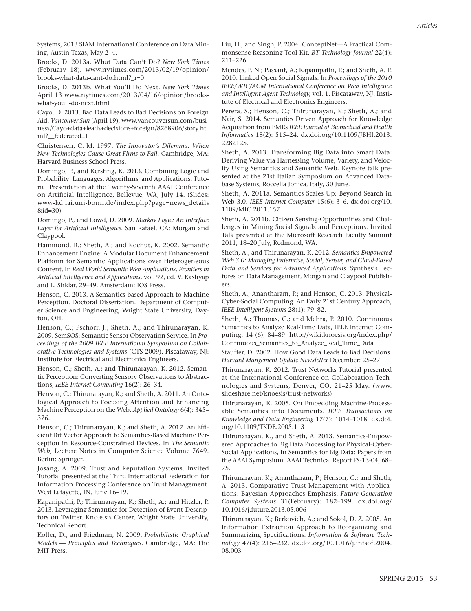Systems, 2013 SIAM International Conference on Data Mining, Austin Texas, May 2–4.

Brooks, D. 2013a. What Data Can't Do? *New York Times* (February 18). www.nytimes.com/2013/02/19/opinion/ brooks-what-data-cant-do.html?\_r=0

Brooks, D. 2013b. What You'll Do Next. *New York Times* April 13 www.nytimes.com/2013/04/16/opinion/brookswhat-youll-do-next.html

Cayo, D. 2013. Bad Data Leads to Bad Decisions on Foreign Aid. *Vancouver Sun* (April 19), www.vancouversun.com/business/Cayo+data+leads+decisions+foreign/8268906/story.ht ml?\_\_federated=1

Christensen, C. M. 1997. *The Innovator's Dilemma: When New Technologies Cause Great Firms to Fail.* Cambridge, MA: Harvard Business School Press.

Domingo, P., and Kersting, K. 2013. Combining Logic and Probability: Languages, Algorithms, and Applications. Tutorial Presentation at the Twenty-Seventh AAAI Conference on Artificial Intelligence, Bellevue, WA, July 14. (Slides: www-kd.iai.uni-bonn.de/index.php?page=news\_details &id=30)

Domingo, P., and Lowd, D. 2009. *Markov Logic: An Interface Layer for Artificial Intelligence*. San Rafael, CA: Morgan and Claypool.

Hammond, B.; Sheth, A.; and Kochut, K. 2002. Semantic Enhancement Engine: A Modular Document Enhancement Platform for Semantic Applications over Heterogeneous Content, In *Real World Semantic Web Applications, Frontiers in Artificial Intelligence and Applications,* vol. 92, ed. V. Kashyap and L. Shklar, 29–49. Amsterdam: IOS Press.

Henson, C. 2013. A Semantics-based Approach to Machine Perception. Doctoral Dissertation. Department of Computer Science and Engineering, Wright State University, Dayton, OH.

Henson, C.; Pschorr, J.; Sheth, A.; and Thirunarayan, K. 2009. SemSOS: Semantic Sensor Observation Service. In *Proceedings of the 2009 IEEE International Symposium on Collaborative Technologies and Systems* (CTS 2009). Piscataway, NJ: Institute for Electrical and Electronics Engineers.

Henson, C.; Sheth, A.; and Thirunarayan, K. 2012. Semantic Perception: Converting Sensory Observations to Abstractions, *IEEE Internet Computing* 16(2): 26–34.

Henson, C.; Thirunarayan, K.; and Sheth, A. 2011. An Ontological Approach to Focusing Attention and Enhancing Machine Perception on the Web. *Applied Ontology* 6(4): 345– 376.

Henson, C.; Thirunarayan, K.; and Sheth, A. 2012. An Efficient Bit Vector Approach to Semantics-Based Machine Perception in Resource-Constrained Devices. In *The Semantic Web,* Lecture Notes in Computer Science Volume 7649. Berlin: Springer.

Josang, A. 2009. Trust and Reputation Systems. Invited Tutorial presented at the Third International Federation for Information Processing Conference on Trust Management. West Lafayette, IN, June 16–19.

Kapanipathi, P.; Thirunarayan, K.; Sheth, A.; and Hitzler, P. 2013. Leveraging Semantics for Detection of Event-Descriptors on Twitter. Kno.e.sis Center, Wright State University, Technical Report.

Koller, D., and Friedman, N. 2009. *Probabilistic Graphical Models — Principles and Techniques*. Cambridge, MA: The MIT Press.

Liu, H., and Singh, P. 2004. ConceptNet—A Practical Commonsense Reasoning Tool-Kit. *BT Technology Journal* 22(4): 211–226.

Mendes, P. N.; Passant, A.; Kapanipathi, P.; and Sheth, A. P. 2010. Linked Open Social Signals. In *Proceedings of the 2010 IEEE/WIC/ACM International Conference on Web Intelligence and Intelligent Agent Technology,* vol. 1. Piscataway, NJ: Institute of Electrical and Electronics Engineers.

Perera, S.; Henson, C.; Thirunarayan, K.; Sheth, A.; and Nair, S. 2014. Semantics Driven Approach for Knowledge Acquisition from EMRs *IEEE Journal of Biomedical and Health Informatics* 18(2): 515–24. dx.doi.org/10.1109/JBHI.2013. 2282125.

Sheth, A. 2013. Transforming Big Data into Smart Data: Deriving Value via Harnessing Volume, Variety, and Velocity Using Semantics and Semantic Web. Keynote talk presented at the 21st Italian Symposium on Advanced Database Systems, Roccella Jonica, Italy, 30 June.

Sheth, A. 2011a. Semantics Scales Up: Beyond Search in Web 3.0. *IEEE Internet Computer* 15(6): 3–6. dx.doi.org/10. 1109/MIC.2011.157

Sheth, A. 2011b. Citizen Sensing-Opportunities and Challenges in Mining Social Signals and Perceptions. Invited Talk presented at the Microsoft Research Faculty Summit 2011, 18–20 July, Redmond, WA.

Sheth, A., and Thirunarayan, K. 2012. *Semantics Empowered Web 3.0: Managing Enterprise, Social, Sensor, and Cloud-Based Data and Services for Advanced Applications.* Synthesis Lectures on Data Management, Morgan and Claypool Publishers.

Sheth, A.; Anantharam, P.; and Henson, C. 2013. Physical-Cyber-Social Computing: An Early 21st Century Approach, *IEEE Intelligent Systems* 28(1): 79–82.

Sheth, A.; Thomas, C.; and Mehra, P. 2010. Continuous Semantics to Analyze Real-Time Data, IEEE Internet Computing, 14 (6), 84–89. http://wiki.knoesis.org/index.php/ Continuous\_Semantics\_to\_Analyze\_Real\_Time\_Data

Stauffer, D. 2002. How Good Data Leads to Bad Decisions. *Harvard Mangement Update Newsletter* December: 25–27.

Thirunarayan, K. 2012. Trust Networks Tutorial presented at the International Conference on Collaboration Technologies and Systems, Denver, CO, 21–25 May. (www. slideshare.net/knoesis/trust-networks)

Thirunarayan, K. 2005. On Embedding Machine-Processable Semantics into Documents. *IEEE Transactions on Knowledge and Data Engineering* 17(7): 1014–1018. dx.doi. org/10.1109/TKDE.2005.113

Thirunarayan, K., and Sheth, A. 2013. Semantics-Empowered Approaches to Big Data Processing for Physical-Cyber-Social Applications, In Semantics for Big Data: Papers from the AAAI Symposium. AAAI Technical Report FS-13-04, 68– 75.

Thirunarayan, K.; Anantharam, P.; Henson, C.; and Sheth, A. 2013. Comparative Trust Management with Applications: Bayesian Approaches Emphasis. *Future Generation Computer Systems* 31(February): 182–199. dx.doi.org/ 10.1016/j.future.2013.05.006

Thirunarayan, K.; Berkovich, A.; and Sokol, D. Z. 2005. An Information Extraction Approach to Reorganizing and Summarizing Specifications. *Information & Software Technology* 47(4): 215–232. dx.doi.org/10.1016/j.infsof.2004. 08.003